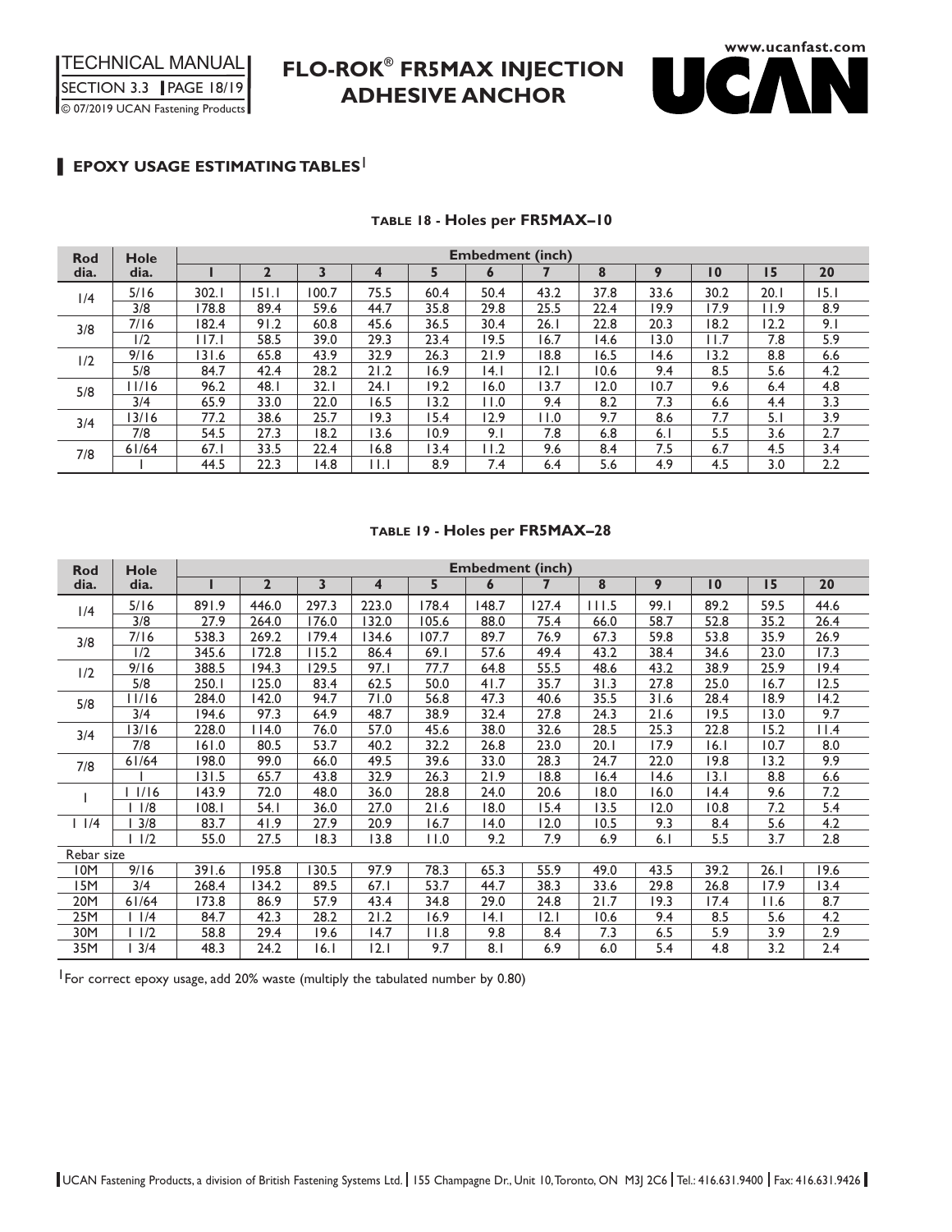# **FLO-ROK® FR5MAX INJECTION ADHESIVE ANCHOR**



### l **EPOXY USAGE ESTIMATING TABLES**<sup>1</sup>

#### **TABLE 18 - Holes per FR5MAX–10**

| <b>Rod</b> | <b>Hole</b> | <b>Embedment (inch)</b> |                |       |       |      |      |      |      |      |                 |      |      |
|------------|-------------|-------------------------|----------------|-------|-------|------|------|------|------|------|-----------------|------|------|
| dia.       | dia.        |                         | $\overline{2}$ | 3     | 4     | 5    | 6    |      | 8    | 9    | $\overline{10}$ | 15   | 20   |
| 1/4        | 5/16        | 302.1                   | 151.1          | 100.7 | 75.5  | 60.4 | 50.4 | 43.2 | 37.8 | 33.6 | 30.2            | 20.1 | 15.1 |
|            | 3/8         | 178.8                   | 89.4           | 59.6  | 44.7  | 35.8 | 29.8 | 25.5 | 22.4 | 19.9 | 17.9            | 11.9 | 8.9  |
| 3/8        | 7/16        | 182.4                   | 91.2           | 60.8  | 45.6  | 36.5 | 30.4 | 26.1 | 22.8 | 20.3 | 18.2            | 12.2 | 9.1  |
|            | 1/2         | 117.1                   | 58.5           | 39.0  | 29.3  | 23.4 | 19.5 | 16.7 | 14.6 | 13.0 | 11.7            | 7.8  | 5.9  |
| 1/2        | 9/16        | 131.6                   | 65.8           | 43.9  | 32.9  | 26.3 | 21.9 | 18.8 | 16.5 | 14.6 | 13.2            | 8.8  | 6.6  |
|            | 5/8         | 84.7                    | 42.4           | 28.2  | 21.2  | 16.9 | 4.1  | 2.1  | 10.6 | 9.4  | 8.5             | 5.6  | 4.2  |
| 5/8        | 1/16        | 96.2                    | 48.1           | 32. I | 24. I | 19.2 | 16.0 | 13.7 | 12.0 | 10.7 | 9.6             | 6.4  | 4.8  |
|            | 3/4         | 65.9                    | 33.0           | 22.0  | 16.5  | 13.2 | 11.0 | 9.4  | 8.2  | 7.3  | 6.6             | 4.4  | 3.3  |
| 3/4        | 3/16        | 77.2                    | 38.6           | 25.7  | 19.3  | 15.4 | 12.9 | 11.0 | 9.7  | 8.6  | 7.7             | 5.1  | 3.9  |
|            | 7/8         | 54.5                    | 27.3           | 18.2  | 13.6  | 10.9 | 9.1  | 7.8  | 6.8  | 6.1  | 5.5             | 3.6  | 2.7  |
| 7/8        | 61/64       | 67.1                    | 33.5           | 22.4  | 16.8  | 13.4 | 11.2 | 9.6  | 8.4  | 7.5  | 6.7             | 4.5  | 3.4  |
|            |             | 44.5                    | 22.3           | 14.8  | 11.I  | 8.9  | 7.4  | 6.4  | 5.6  | 4.9  | 4.5             | 3.0  | 2.2  |

#### **TABLE 19 - Holes per FR5MAX–28**

| <b>Rod</b> | Hole      | <b>Embedment (inch)</b> |                |       |                         |       |       |       |       |      |                 |      |      |
|------------|-----------|-------------------------|----------------|-------|-------------------------|-------|-------|-------|-------|------|-----------------|------|------|
| dia.       | dia.      |                         | $\overline{2}$ | 3     | $\overline{\mathbf{4}}$ | 5     | 6     | 7     | 8     | 9    | $\overline{10}$ | 15   | 20   |
| 1/4        | 5/16      | 891.9                   | 446.0          | 297.3 | 223.0                   | 178.4 | 148.7 | 127.4 | 111.5 | 99.1 | 89.2            | 59.5 | 44.6 |
|            | 3/8       | 27.9                    | 264.0          | 176.0 | 132.0                   | 105.6 | 88.0  | 75.4  | 66.0  | 58.7 | 52.8            | 35.2 | 26.4 |
| 3/8        | 7/16      | 538.3                   | 269.2          | 179.4 | 134.6                   | 107.7 | 89.7  | 76.9  | 67.3  | 59.8 | 53.8            | 35.9 | 26.9 |
|            | 1/2       | 345.6                   | 172.8          | 115.2 | 86.4                    | 69.1  | 57.6  | 49.4  | 43.2  | 38.4 | 34.6            | 23.0 | 17.3 |
| 1/2        | 9/16      | 388.5                   | 194.3          | 129.5 | 97.1                    | 77.7  | 64.8  | 55.5  | 48.6  | 43.2 | 38.9            | 25.9 | 19.4 |
|            | 5/8       | 250.1                   | 125.0          | 83.4  | 62.5                    | 50.0  | 41.7  | 35.7  | 31.3  | 27.8 | 25.0            | 16.7 | 12.5 |
| 5/8        | II/16     | 284.0                   | 142.0          | 94.7  | 71.0                    | 56.8  | 47.3  | 40.6  | 35.5  | 31.6 | 28.4            | 18.9 | 14.2 |
|            | 3/4       | 194.6                   | 97.3           | 64.9  | 48.7                    | 38.9  | 32.4  | 27.8  | 24.3  | 21.6 | 19.5            | 13.0 | 9.7  |
| 3/4        | 3/16      | 228.0                   | 114.0          | 76.0  | 57.0                    | 45.6  | 38.0  | 32.6  | 28.5  | 25.3 | 22.8            | 15.2 | 11.4 |
|            | 7/8       | 161.0                   | 80.5           | 53.7  | 40.2                    | 32.2  | 26.8  | 23.0  | 20.1  | 17.9 | 16.1            | 10.7 | 8.0  |
| 7/8        | 61/64     | 198.0                   | 99.0           | 66.0  | 49.5                    | 39.6  | 33.0  | 28.3  | 24.7  | 22.0 | 19.8            | 13.2 | 9.9  |
|            |           | 131.5                   | 65.7           | 43.8  | 32.9                    | 26.3  | 21.9  | 18.8  | 16.4  | 14.6 | 13.1            | 8.8  | 6.6  |
|            | 1/16      | 143.9                   | 72.0           | 48.0  | 36.0                    | 28.8  | 24.0  | 20.6  | 18.0  | 16.0 | 14.4            | 9.6  | 7.2  |
|            | 1/8       | 108.1                   | 54.1           | 36.0  | 27.0                    | 21.6  | 18.0  | 15.4  | 13.5  | 12.0 | 10.8            | 7.2  | 5.4  |
| 11/4       | 3/8       | 83.7                    | 41.9           | 27.9  | 20.9                    | 16.7  | 14.0  | 12.0  | 10.5  | 9.3  | 8.4             | 5.6  | 4.2  |
|            | 11/2      | 55.0                    | 27.5           | 18.3  | 13.8                    | 11.0  | 9.2   | 7.9   | 6.9   | 6.1  | 5.5             | 3.7  | 2.8  |
| Rebar size |           |                         |                |       |                         |       |       |       |       |      |                 |      |      |
| 10M        | 9/16      | 391.6                   | 195.8          | 130.5 | 97.9                    | 78.3  | 65.3  | 55.9  | 49.0  | 43.5 | 39.2            | 26.1 | 19.6 |
| 15M        | 3/4       | 268.4                   | 134.2          | 89.5  | 67.1                    | 53.7  | 44.7  | 38.3  | 33.6  | 29.8 | 26.8            | 17.9 | 13.4 |
| 20M        | 61/64     | 173.8                   | 86.9           | 57.9  | 43.4                    | 34.8  | 29.0  | 24.8  | 21.7  | 19.3 | 17.4            | 11.6 | 8.7  |
| 25M        | $ $ $ /4$ | 84.7                    | 42.3           | 28.2  | 21.2                    | 16.9  | 4.1   | 2.1   | 10.6  | 9.4  | 8.5             | 5.6  | 4.2  |
| 30M        | $ $ $ /2$ | 58.8                    | 29.4           | 19.6  | 14.7                    | 11.8  | 9.8   | 8.4   | 7.3   | 6.5  | 5.9             | 3.9  | 2.9  |
| 35M        | 3/4       | 48.3                    | 24.2           | 16.1  | 2.1                     | 9.7   | 8.1   | 6.9   | 6.0   | 5.4  | 4.8             | 3.2  | 2.4  |

1For correct epoxy usage, add 20% waste (multiply the tabulated number by 0.80)